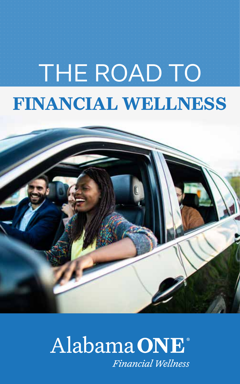# THE ROAD TO **FINANCIAL WELLNESS**



### Alabama ONE<sup>®</sup> **Financial Wellness**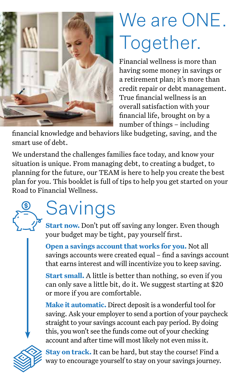

# We are ONE. Together.

Financial wellness is more than having some money in savings or a retirement plan; it's more than credit repair or debt management. True financial wellness is an overall satisfaction with your financial life, brought on by a number of things – including

financial knowledge and behaviors like budgeting, saving, and the smart use of debt.

We understand the challenges families face today, and know your situation is unique. From managing debt, to creating a budget, to planning for the future, our TEAM is here to help you create the best plan for you. This booklet is full of tips to help you get started on your Road to Financial Wellness.

# Savings

**Start now.** Don't put off saving any longer. Even though your budget may be tight, pay yourself first.

**Open a savings account that works for you.** Not all savings accounts were created equal – find a savings account that earns interest and will incentivize you to keep saving.

**Start small.** A little is better than nothing, so even if you can only save a little bit, do it. We suggest starting at \$20 or more if you are comfortable.

**Make it automatic.** Direct deposit is a wonderful tool for saving. Ask your employer to send a portion of your paycheck straight to your savings account each pay period. By doing this, you won't see the funds come out of your checking account and after time will most likely not even miss it.



**Stay on track.** It can be hard, but stay the course! Find a way to encourage yourself to stay on your savings journey.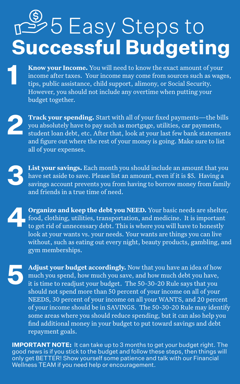# **Successful Budgeting**  $\mathbb{S}$ 5 Easy Steps to

1

**Know your Income.** You will need to know the exact amount of your income after taxes. Your income may come from sources such as wages, tips, public assistance, child support, alimony, or Social Security. However, you should not include any overtime when putting your budget together.

**Track your spending.** Start with all of your fixed payments—the bills you absolutely have to pay such as mortgage, utilities, car payments, student loan debt, etc. After that, look at your last few bank statements and figure out where the rest of your money is going. Make sure to list all of your expenses.

**List your savings.** Each month you should include an amount that you have set aside to save. Please list an amount, even if it is \$5. Having a savings account prevents you from having to borrow money from family and friends in a true time of need.

**Organize and keep the debt you NEED.** Your basic needs are shelter, food, clothing, utilities, transportation, and medicine. It is important to get rid of unnecessary debt. This is where you will have to honestly look at your wants vs. your needs. Your wants are things you can live without, such as eating out every night, beauty products, gambling, and gym memberships.

**Adjust your budget accordingly.** Now that you have an idea of how much you spend, how much you save, and how much debt you have, it is time to readjust your budget. The 50-30-20 Rule says that you should not spend more than 50 percent of your income on all of your NEEDS, 30 percent of your income on all your WANTS, and 20 percent of your income should be in SAVINGS. The 50-30-20 Rule may identify some areas where you should reduce spending, but it can also help you find additional money in your budget to put toward savings and debt repayment goals.

**IMPORTANT NOTE:** It can take up to 3 months to get your budget right. The good news is if you stick to the budget and follow these steps, then things will only get BETTER! Show yourself some patience and talk with our Financial Wellness TEAM if you need help or encouragement.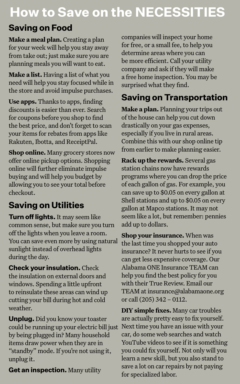### **How to Save on the NECESSITIES**

#### **Saving on Food**

**Make a meal plan.** Creating a plan for your week will help you stay away from take out; just make sure you are planning meals you will want to eat.

**Make a list.** Having a list of what you need will help you stay focused while in the store and avoid impulse purchases.

**Use apps.** Thanks to apps, finding discounts is easier than ever. Search for coupons before you shop to find the best price, and don't forget to scan your items for rebates from apps like Rakuten, Ibotta, and ReceiptPal.

**Shop online.** Many grocery stores now offer online pickup options. Shopping online will further eliminate impulse buying and will help you budget by allowing you to see your total before checkout.

#### **Saving on Utilities**

**Turn off lights.** It may seem like common sense, but make sure you turn off the lights when you leave a room. You can save even more by using natural sunlight instead of overhead lights during the day.

**Check your insulation.** Check the insulation on external doors and windows. Spending a little upfront to reinsulate these areas can wind up cutting your bill during hot and cold weather.

**Unplug.** Did you know your toaster could be running up your electric bill just by being plugged in? Many household items draw power when they are in "standby" mode. If you're not using it, unplug it.

**Get an inspection.** Many utility

companies will inspect your home for free, or a small fee, to help you determine areas where you can be more efficient. Call your utility company and ask if they will make a free home inspection. You may be surprised what they find.

#### **Saving on Transportation**

**Make a plan.** Planning your trips out of the house can help you cut down drastically on your gas expenses, especially if you live in rural areas. Combine this with our shop online tip from earlier to make planning easier.

**Rack up the rewards.** Several gas station chains now have rewards programs where you can drop the price of each gallon of gas. For example, you can save up to \$0.05 on every gallon at Shell stations and up to \$0.05 on every gallon at Mapco stations. It may not seem like a lot, but remember: pennies add up to dollars.

**Shop your insurance.** When was the last time you shopped your auto insurance? It never hurts to see if you can get less expensive coverage. Our Alabama ONE Insurance TEAM can help you find the best policy for you with their True Review. Email our TEAM at insurance@alabamaone.org or call (205) 342 – 0112.

**DIY simple fixes.** Many car troubles are actually pretty easy to fix yourself. Next time you have an issue with your car, do some web searches and watch YouTube videos to see if it is something you could fix yourself. Not only will you learn a new skill, but you also stand to save a lot on car repairs by not paying for specialized labor.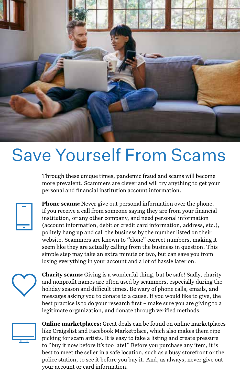

## Save Yourself From Scams

Through these unique times, pandemic fraud and scams will become more prevalent. Scammers are clever and will try anything to get your personal and financial institution account information.



**Phone scams:** Never give out personal information over the phone. If you receive a call from someone saying they are from your financial institution, or any other company, and need personal information (account information, debit or credit card information, address, etc.), politely hang up and call the business by the number listed on their website. Scammers are known to "clone" correct numbers, making it seem like they are actually calling from the business in question. This simple step may take an extra minute or two, but can save you from losing everything in your account and a lot of hassle later on.



**Charity scams:** Giving is a wonderful thing, but be safe! Sadly, charity and nonprofit names are often used by scammers, especially during the holiday season and difficult times. Be wary of phone calls, emails, and messages asking you to donate to a cause. If you would like to give, the best practice is to do your research first – make sure you are giving to a legitimate organization, and donate through verified methods.



**Online marketplaces:** Great deals can be found on online marketplaces like Craigslist and Facebook Marketplace, which also makes them ripe picking for scam artists. It is easy to fake a listing and create pressure to "buy it now before it's too late!" Before you purchase any item, it is best to meet the seller in a safe location, such as a busy storefront or the police station, to see it before you buy it. And, as always, never give out your account or card information.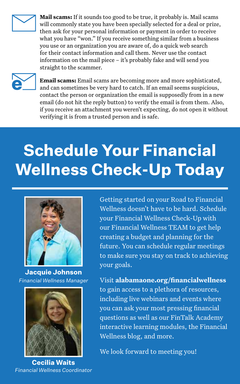

**Mail scams:** If it sounds too good to be true, it probably is. Mail scams will commonly state you have been specially selected for a deal or prize, then ask for your personal information or payment in order to receive what you have "won." If you receive something similar from a business you use or an organization you are aware of, do a quick web search for their contact information and call them. Never use the contact information on the mail piece – it's probably fake and will send you straight to the scammer.



**Email scams:** Email scams are becoming more and more sophisticated, and can sometimes be very hard to catch. If an email seems suspicious, contact the person or organization the email is supposedly from in a new email (do not hit the reply button) to verify the email is from them. Also, if you receive an attachment you weren't expecting, do not open it without verifying it is from a trusted person and is safe.

## **Schedule Your Financial Wellness Check-Up Today**



**Jacquie Johnson** *Financial Wellness Manager*



**Cecilia Waits** *Financial Wellness Coordinator*

Getting started on your Road to Financial Wellness doesn't have to be hard. Schedule your Financial Wellness Check-Up with our Financial Wellness TEAM to get help creating a budget and planning for the future. You can schedule regular meetings to make sure you stay on track to achieving your goals.

Visit **alabamaone.org/financialwellness** to gain access to a plethora of resources, including live webinars and events where you can ask your most pressing financial questions as well as our FinTalk Academy interactive learning modules, the Financial Wellness blog, and more.

We look forward to meeting you!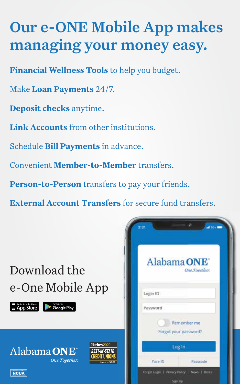### Our e-ONE Mobile App makes managing your money easy.

**Financial Wellness Tools** to help you budget.

Make **Loan Payments** 24/7.

**Deposit checks** anytime.

**Link Accounts** from other institutions.

Schedule **Bill Payments** in advance.

Convenient **Member-to-Member** transfers.

**Person-to-Person** transfers to pay your friends.

**External Account Transfers** for secure fund transfers.

### Download the e-One Mobile App



Alabama ONE



One.Together.